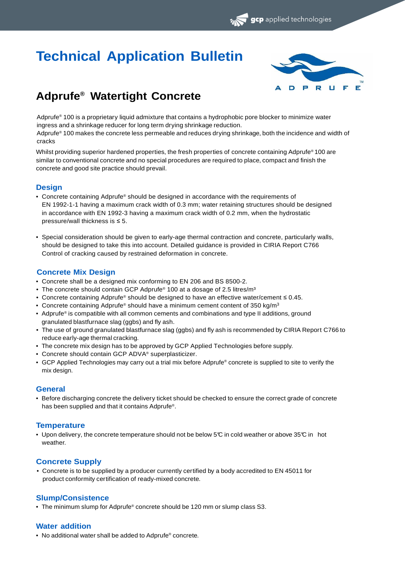# **Technical Application Bulletin**



gcp applied technologies

# **Adprufe® Watertight Concrete**

Adprufe® 100 is a proprietary liquid admixture that contains a hydrophobic pore blocker to minimize water ingress and a shrinkage reducer for long term drying shrinkage reduction.

Adprufe® 100 makes the concrete less permeable and reduces drying shrinkage, both the incidence and width of cracks

Whilst providing superior hardened properties, the fresh properties of concrete containing Adprufe® 100 are similar to conventional concrete and no special procedures are required to place, compact and finish the concrete and good site practice should prevail.

# **Design**

- Concrete containing Adprufe® should be designed in accordance with the requirements of EN 1992-1-1 having a maximum crack width of 0.3 mm; water retaining structures should be designed in accordance with EN 1992-3 having a maximum crack width of 0.2 mm, when the hydrostatic pressure/wall thickness is ≤ 5.
- Special consideration should be given to early-age thermal contraction and concrete, particularly walls, should be designed to take this into account. Detailed guidance is provided in CIRIA Report C766 Control of cracking caused by restrained deformation in concrete.

# **Concrete Mix Design**

- Concrete shall be a designed mix conforming to EN 206 and BS 8500-2.
- The concrete should contain GCP Adprufe® 100 at a dosage of 2.5 litres/m<sup>3</sup>
- Concrete containing Adprufe® should be designed to have an effective water/cement ≤ 0.45.
- Concrete containing Adprufe® should have a minimum cement content of 350 kg/m<sup>3</sup>
- Adprufe® is compatible with all common cements and combinations and type II additions, ground granulated blastfurnace slag (ggbs) and fly ash.
- The use of ground granulated blastfurnace slag (ggbs) and fly ash is recommended by CIRIA Report C766 to reduce early-age thermal cracking.
- The concrete mix design has to be approved by GCP Applied Technologies before supply.
- Concrete should contain GCP ADVA® superplasticizer.
- GCP Applied Technologies may carry out a trial mix before Adprufe® concrete is supplied to site to verify the mix design.

#### **General**

• Before discharging concrete the delivery ticket should be checked to ensure the correct grade of concrete has been supplied and that it contains Adprufe® .

# **Temperature**

• Upon delivery, the concrete temperature should not be below 5°C in cold weather or above 35°C in hot weather.

# **Concrete Supply**

• Concrete is to be supplied by a producer currently certified by a body accredited to EN 45011 for product conformity certification of ready-mixed concrete.

# **Slump/Consistence**

• The minimum slump for Adprufe® concrete should be 120 mm or slump class S3.

#### **Water addition**

• No additional water shall be added to Adprufe® concrete.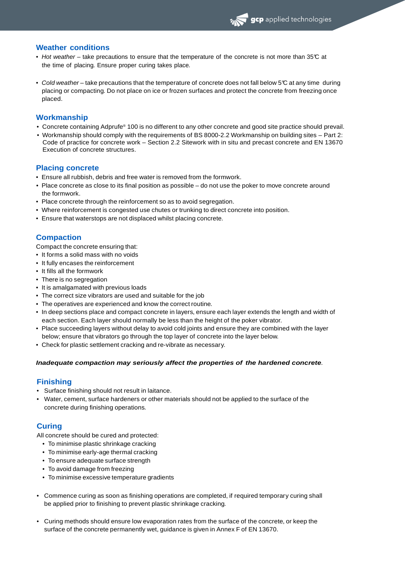#### **Weather conditions**

- Hot weather take precautions to ensure that the temperature of the concrete is not more than 35°C at the time of placing. Ensure proper curing takes place.
- Cold weather take precautions that the temperature of concrete does not fall below 5°C at any time during placing or compacting. Do not place on ice or frozen surfaces and protect the concrete from freezing once placed.

#### **Workmanship**

- Concrete containing Adprufe® 100 is no different to any other concrete and good site practice should prevail.
- Workmanship should comply with the requirements of BS 8000-2.2 Workmanship on building sites Part 2: Code of practice for concrete work – Section 2.2 Sitework with in situ and precast concrete and EN 13670 Execution of concrete structures.

#### **Placing concrete**

- Ensure all rubbish, debris and free water is removed from the formwork.
- Place concrete as close to its final position as possible do not use the poker to move concrete around the formwork.
- Place concrete through the reinforcement so as to avoid segregation.
- Where reinforcement is congested use chutes or trunking to direct concrete into position.
- Ensure that waterstops are not displaced whilst placing concrete.

# **Compaction**

Compact the concrete ensuring that:

- It forms a solid mass with no voids
- It fully encases the reinforcement
- It fills all the formwork
- There is no segregation
- It is amalgamated with previous loads
- The correct size vibrators are used and suitable for the job
- The operatives are experienced and know the correct routine.
- In deep sections place and compact concrete in layers, ensure each layer extends the length and width of each section. Each layer should normally be less than the height of the poker vibrator.
- Place succeeding layers without delay to avoid cold joints and ensure they are combined with the layer below; ensure that vibrators go through the top layer of concrete into the layer below.
- Check for plastic settlement cracking and re-vibrate as necessary.

#### **Inadequate compaction may seriously affect the properties of the hardened concrete**.

#### **Finishing**

- Surface finishing should not result in laitance.
- Water, cement, surface hardeners or other materials should not be applied to the surface of the concrete during finishing operations.

#### **Curing**

All concrete should be cured and protected:

- To minimise plastic shrinkage cracking
- To minimise early-age thermal cracking
- To ensure adequate surface strength
- To avoid damage from freezing
- To minimise excessive temperature gradients
- Commence curing as soon as finishing operations are completed, if required temporary curing shall be applied prior to finishing to prevent plastic shrinkage cracking.
- Curing methods should ensure low evaporation rates from the surface of the concrete, or keep the surface of the concrete permanently wet, guidance is given in Annex F of EN 13670.